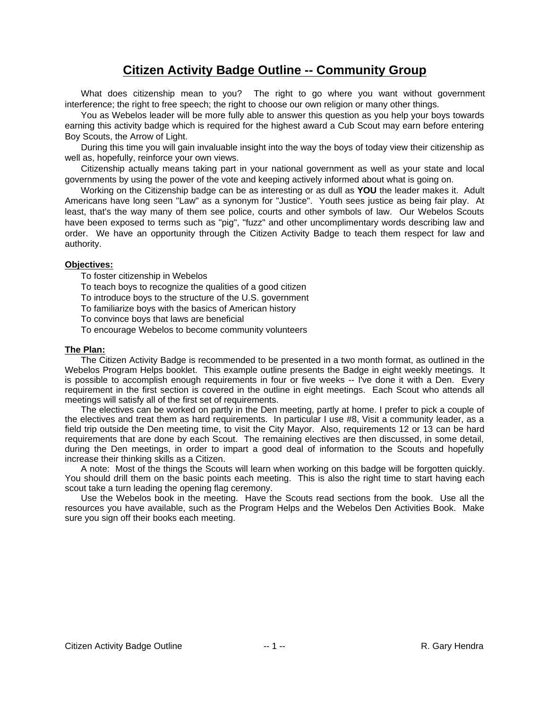# **Citizen Activity Badge Outline -- Community Group**

What does citizenship mean to you? The right to go where you want without government interference; the right to free speech; the right to choose our own religion or many other things.

You as Webelos leader will be more fully able to answer this question as you help your boys towards earning this activity badge which is required for the highest award a Cub Scout may earn before entering Boy Scouts, the Arrow of Light.

During this time you will gain invaluable insight into the way the boys of today view their citizenship as well as, hopefully, reinforce your own views.

Citizenship actually means taking part in your national government as well as your state and local governments by using the power of the vote and keeping actively informed about what is going on.

Working on the Citizenship badge can be as interesting or as dull as **YOU** the leader makes it. Adult Americans have long seen "Law" as a synonym for "Justice". Youth sees justice as being fair play. At least, that's the way many of them see police, courts and other symbols of law. Our Webelos Scouts have been exposed to terms such as "pig", "fuzz" and other uncomplimentary words describing law and order. We have an opportunity through the Citizen Activity Badge to teach them respect for law and authority.

#### **Objectives:**

To foster citizenship in Webelos

To teach boys to recognize the qualities of a good citizen

To introduce boys to the structure of the U.S. government

To familiarize boys with the basics of American history

To convince boys that laws are beneficial

To encourage Webelos to become community volunteers

#### **The Plan:**

The Citizen Activity Badge is recommended to be presented in a two month format, as outlined in the Webelos Program Helps booklet. This example outline presents the Badge in eight weekly meetings. It is possible to accomplish enough requirements in four or five weeks -- I've done it with a Den. Every requirement in the first section is covered in the outline in eight meetings. Each Scout who attends all meetings will satisfy all of the first set of requirements.

The electives can be worked on partly in the Den meeting, partly at home. I prefer to pick a couple of the electives and treat them as hard requirements. In particular I use #8, Visit a community leader, as a field trip outside the Den meeting time, to visit the City Mayor. Also, requirements 12 or 13 can be hard requirements that are done by each Scout. The remaining electives are then discussed, in some detail, during the Den meetings, in order to impart a good deal of information to the Scouts and hopefully increase their thinking skills as a Citizen.

A note: Most of the things the Scouts will learn when working on this badge will be forgotten quickly. You should drill them on the basic points each meeting. This is also the right time to start having each scout take a turn leading the opening flag ceremony.

Use the Webelos book in the meeting. Have the Scouts read sections from the book. Use all the resources you have available, such as the Program Helps and the Webelos Den Activities Book. Make sure you sign off their books each meeting.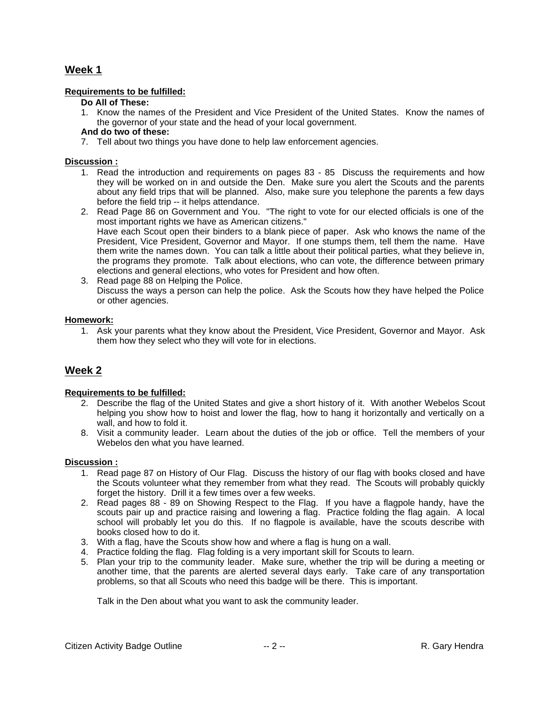#### **Requirements to be fulfilled:**

#### **Do All of These:**

1. Know the names of the President and Vice President of the United States. Know the names of the governor of your state and the head of your local government.

#### **And do two of these:**

7. Tell about two things you have done to help law enforcement agencies.

#### **Discussion :**

- 1. Read the introduction and requirements on pages 83 85 Discuss the requirements and how they will be worked on in and outside the Den. Make sure you alert the Scouts and the parents about any field trips that will be planned. Also, make sure you telephone the parents a few days before the field trip -- it helps attendance.
- 2. Read Page 86 on Government and You. "The right to vote for our elected officials is one of the most important rights we have as American citizens." Have each Scout open their binders to a blank piece of paper. Ask who knows the name of the President, Vice President, Governor and Mayor. If one stumps them, tell them the name. Have them write the names down. You can talk a little about their political parties, what they believe in, the programs they promote. Talk about elections, who can vote, the difference between primary elections and general elections, who votes for President and how often.
- 3. Read page 88 on Helping the Police. Discuss the ways a person can help the police. Ask the Scouts how they have helped the Police or other agencies.

#### **Homework:**

1. Ask your parents what they know about the President, Vice President, Governor and Mayor. Ask them how they select who they will vote for in elections.

# **Week 2**

#### **Requirements to be fulfilled:**

- 2. Describe the flag of the United States and give a short history of it. With another Webelos Scout helping you show how to hoist and lower the flag, how to hang it horizontally and vertically on a wall, and how to fold it.
- 8. Visit a community leader. Learn about the duties of the job or office. Tell the members of your Webelos den what you have learned.

#### **Discussion :**

- 1. Read page 87 on History of Our Flag. Discuss the history of our flag with books closed and have the Scouts volunteer what they remember from what they read. The Scouts will probably quickly forget the history. Drill it a few times over a few weeks.
- 2. Read pages 88 89 on Showing Respect to the Flag. If you have a flagpole handy, have the scouts pair up and practice raising and lowering a flag. Practice folding the flag again. A local school will probably let you do this. If no flagpole is available, have the scouts describe with books closed how to do it.
- 3. With a flag, have the Scouts show how and where a flag is hung on a wall.
- 4. Practice folding the flag. Flag folding is a very important skill for Scouts to learn.
- 5. Plan your trip to the community leader. Make sure, whether the trip will be during a meeting or another time, that the parents are alerted several days early. Take care of any transportation problems, so that all Scouts who need this badge will be there. This is important.

Talk in the Den about what you want to ask the community leader.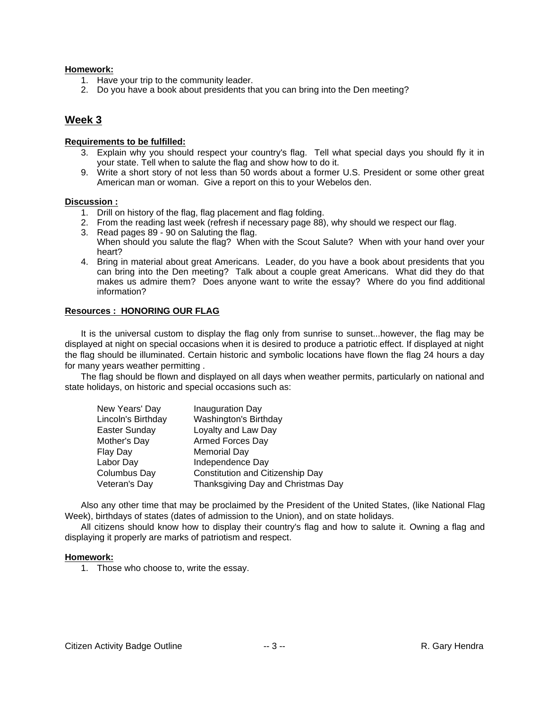#### **Homework:**

- 1. Have your trip to the community leader.
- 2. Do you have a book about presidents that you can bring into the Den meeting?

#### **Week 3**

#### **Requirements to be fulfilled:**

- 3. Explain why you should respect your country's flag. Tell what special days you should fly it in your state. Tell when to salute the flag and show how to do it.
- 9. Write a short story of not less than 50 words about a former U.S. President or some other great American man or woman. Give a report on this to your Webelos den.

#### **Discussion :**

- 1. Drill on history of the flag, flag placement and flag folding.
- 2. From the reading last week (refresh if necessary page 88), why should we respect our flag.
- 3. Read pages 89 90 on Saluting the flag. When should you salute the flag? When with the Scout Salute? When with your hand over your heart?
- 4. Bring in material about great Americans. Leader, do you have a book about presidents that you can bring into the Den meeting? Talk about a couple great Americans. What did they do that makes us admire them? Does anyone want to write the essay? Where do you find additional information?

#### **Resources : HONORING OUR FLAG**

It is the universal custom to display the flag only from sunrise to sunset...however, the flag may be displayed at night on special occasions when it is desired to produce a patriotic effect. If displayed at night the flag should be illuminated. Certain historic and symbolic locations have flown the flag 24 hours a day for many years weather permitting .

The flag should be flown and displayed on all days when weather permits, particularly on national and state holidays, on historic and special occasions such as:

| New Years' Day     | Inauguration Day                        |
|--------------------|-----------------------------------------|
| Lincoln's Birthday | Washington's Birthday                   |
| Easter Sunday      | Loyalty and Law Day                     |
| Mother's Day       | Armed Forces Day                        |
| Flay Day           | <b>Memorial Day</b>                     |
| Labor Day          | Independence Day                        |
| Columbus Day       | <b>Constitution and Citizenship Day</b> |
| Veteran's Day      | Thanksgiving Day and Christmas Day      |

Also any other time that may be proclaimed by the President of the United States, (like National Flag Week), birthdays of states (dates of admission to the Union), and on state holidays.

All citizens should know how to display their country's flag and how to salute it. Owning a flag and displaying it properly are marks of patriotism and respect.

#### **Homework:**

1. Those who choose to, write the essay.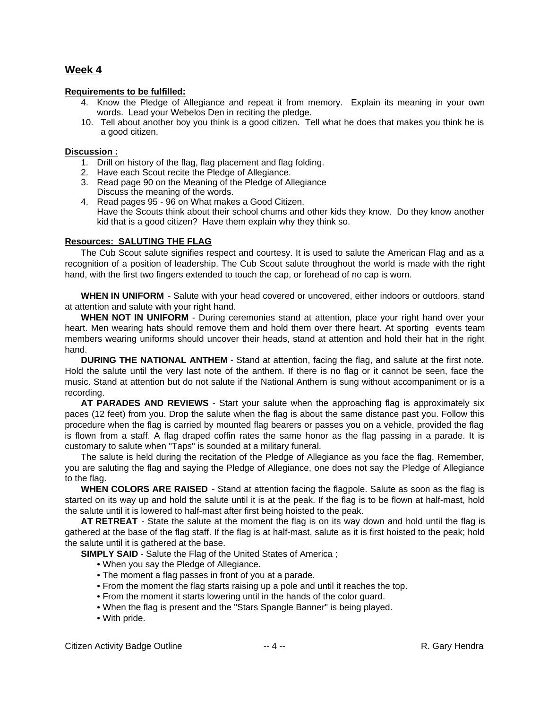#### **Requirements to be fulfilled:**

- 4. Know the Pledge of Allegiance and repeat it from memory. Explain its meaning in your own words. Lead your Webelos Den in reciting the pledge.
- 10. Tell about another boy you think is a good citizen. Tell what he does that makes you think he is a good citizen.

#### **Discussion :**

- 1. Drill on history of the flag, flag placement and flag folding.
- 2. Have each Scout recite the Pledge of Allegiance.
- 3. Read page 90 on the Meaning of the Pledge of Allegiance Discuss the meaning of the words.
- 4. Read pages 95 96 on What makes a Good Citizen. Have the Scouts think about their school chums and other kids they know. Do they know another kid that is a good citizen? Have them explain why they think so.

#### **Resources: SALUTING THE FLAG**

The Cub Scout salute signifies respect and courtesy. It is used to salute the American Flag and as a recognition of a position of leadership. The Cub Scout salute throughout the world is made with the right hand, with the first two fingers extended to touch the cap, or forehead of no cap is worn.

**WHEN IN UNIFORM** - Salute with your head covered or uncovered, either indoors or outdoors, stand at attention and salute with your right hand.

**WHEN NOT IN UNIFORM** - During ceremonies stand at attention, place your right hand over your heart. Men wearing hats should remove them and hold them over there heart. At sporting events team members wearing uniforms should uncover their heads, stand at attention and hold their hat in the right hand.

**DURING THE NATIONAL ANTHEM** - Stand at attention, facing the flag, and salute at the first note. Hold the salute until the very last note of the anthem. If there is no flag or it cannot be seen, face the music. Stand at attention but do not salute if the National Anthem is sung without accompaniment or is a recording.

**AT PARADES AND REVIEWS** - Start your salute when the approaching flag is approximately six paces (12 feet) from you. Drop the salute when the flag is about the same distance past you. Follow this procedure when the flag is carried by mounted flag bearers or passes you on a vehicle, provided the flag is flown from a staff. A flag draped coffin rates the same honor as the flag passing in a parade. It is customary to salute when "Taps" is sounded at a military funeral.

The salute is held during the recitation of the Pledge of Allegiance as you face the flag. Remember, you are saluting the flag and saying the Pledge of Allegiance, one does not say the Pledge of Allegiance to the flag.

**WHEN COLORS ARE RAISED** - Stand at attention facing the flagpole. Salute as soon as the flag is started on its way up and hold the salute until it is at the peak. If the flag is to be flown at half-mast, hold the salute until it is lowered to half-mast after first being hoisted to the peak.

**AT RETREAT** - State the salute at the moment the flag is on its way down and hold until the flag is gathered at the base of the flag staff. If the flag is at half-mast, salute as it is first hoisted to the peak; hold the salute until it is gathered at the base.

**SIMPLY SAID** - Salute the Flag of the United States of America ;

- When you say the Pledge of Allegiance.
- The moment a flag passes in front of you at a parade.
- From the moment the flag starts raising up a pole and until it reaches the top.
- From the moment it starts lowering until in the hands of the color guard.
- When the flag is present and the "Stars Spangle Banner" is being played.
- With pride.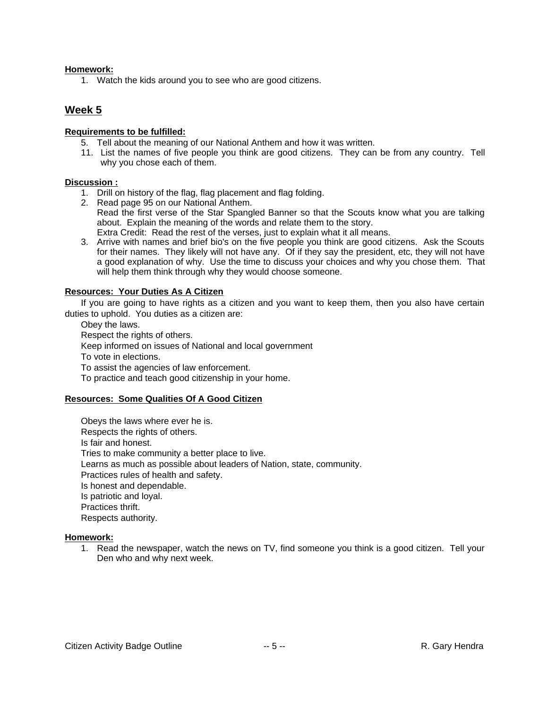#### **Homework:**

1. Watch the kids around you to see who are good citizens.

# **Week 5**

#### **Requirements to be fulfilled:**

- 5. Tell about the meaning of our National Anthem and how it was written.
- 11. List the names of five people you think are good citizens. They can be from any country. Tell why you chose each of them.

#### **Discussion :**

- 1. Drill on history of the flag, flag placement and flag folding.
- 2. Read page 95 on our National Anthem. Read the first verse of the Star Spangled Banner so that the Scouts know what you are talking about. Explain the meaning of the words and relate them to the story. Extra Credit: Read the rest of the verses, just to explain what it all means.
- 3. Arrive with names and brief bio's on the five people you think are good citizens. Ask the Scouts for their names. They likely will not have any. Of if they say the president, etc, they will not have a good explanation of why. Use the time to discuss your choices and why you chose them. That will help them think through why they would choose someone.

#### **Resources: Your Duties As A Citizen**

If you are going to have rights as a citizen and you want to keep them, then you also have certain duties to uphold. You duties as a citizen are:

Obey the laws. Respect the rights of others. Keep informed on issues of National and local government To vote in elections. To assist the agencies of law enforcement. To practice and teach good citizenship in your home.

#### **Resources: Some Qualities Of A Good Citizen**

Obeys the laws where ever he is. Respects the rights of others. Is fair and honest. Tries to make community a better place to live. Learns as much as possible about leaders of Nation, state, community. Practices rules of health and safety. Is honest and dependable. Is patriotic and loyal. Practices thrift. Respects authority.

#### **Homework:**

1. Read the newspaper, watch the news on TV, find someone you think is a good citizen. Tell your Den who and why next week.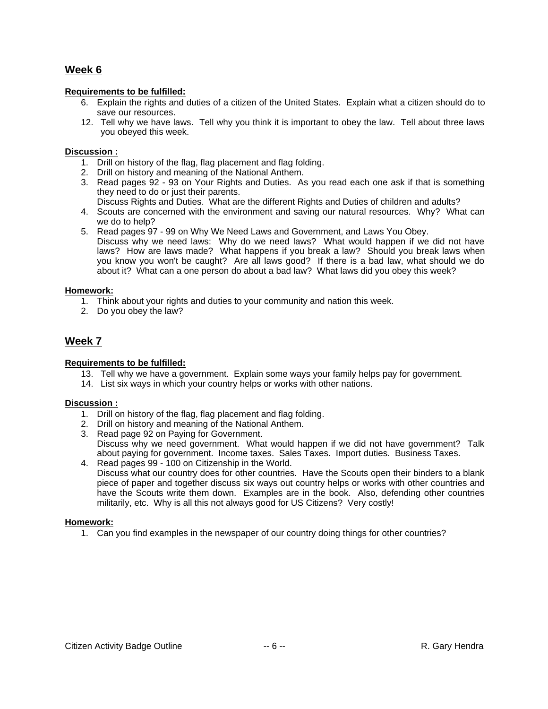#### **Requirements to be fulfilled:**

- 6. Explain the rights and duties of a citizen of the United States. Explain what a citizen should do to save our resources.
- 12. Tell why we have laws. Tell why you think it is important to obey the law. Tell about three laws you obeyed this week.

#### **Discussion :**

- 1. Drill on history of the flag, flag placement and flag folding.
- 2. Drill on history and meaning of the National Anthem.
- 3. Read pages 92 93 on Your Rights and Duties. As you read each one ask if that is something they need to do or just their parents.
- Discuss Rights and Duties. What are the different Rights and Duties of children and adults?
- 4. Scouts are concerned with the environment and saving our natural resources. Why? What can we do to help?
- 5. Read pages 97 99 on Why We Need Laws and Government, and Laws You Obey. Discuss why we need laws: Why do we need laws? What would happen if we did not have laws? How are laws made? What happens if you break a law? Should you break laws when you know you won't be caught? Are all laws good? If there is a bad law, what should we do about it? What can a one person do about a bad law? What laws did you obey this week?

#### **Homework:**

- 1. Think about your rights and duties to your community and nation this week.
- 2. Do you obey the law?

# **Week 7**

#### **Requirements to be fulfilled:**

- 13. Tell why we have a government. Explain some ways your family helps pay for government.
- 14. List six ways in which your country helps or works with other nations.

#### **Discussion :**

- 1. Drill on history of the flag, flag placement and flag folding.
- 2. Drill on history and meaning of the National Anthem.
- 3. Read page 92 on Paying for Government. Discuss why we need government. What would happen if we did not have government? Talk about paying for government. Income taxes. Sales Taxes. Import duties. Business Taxes.
- 4. Read pages 99 100 on Citizenship in the World. Discuss what our country does for other countries. Have the Scouts open their binders to a blank piece of paper and together discuss six ways out country helps or works with other countries and have the Scouts write them down. Examples are in the book. Also, defending other countries militarily, etc. Why is all this not always good for US Citizens? Very costly!

#### **Homework:**

1. Can you find examples in the newspaper of our country doing things for other countries?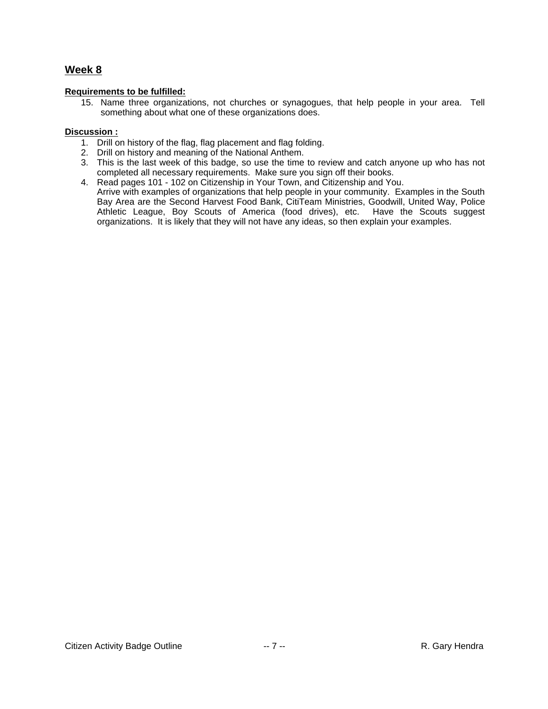#### **Requirements to be fulfilled:**

15. Name three organizations, not churches or synagogues, that help people in your area. Tell something about what one of these organizations does.

#### **Discussion :**

- 1. Drill on history of the flag, flag placement and flag folding.
- 2. Drill on history and meaning of the National Anthem.
- 3. This is the last week of this badge, so use the time to review and catch anyone up who has not completed all necessary requirements. Make sure you sign off their books.
- 4. Read pages 101 102 on Citizenship in Your Town, and Citizenship and You.
- Arrive with examples of organizations that help people in your community. Examples in the South Bay Area are the Second Harvest Food Bank, CitiTeam Ministries, Goodwill, United Way, Police Athletic League, Boy Scouts of America (food drives), etc. Have the Scouts suggest organizations. It is likely that they will not have any ideas, so then explain your examples.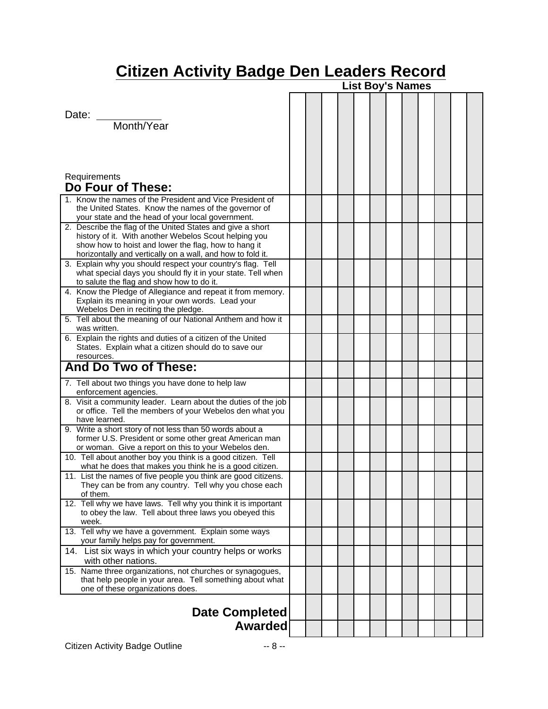# **Citizen Activity Badge Den Leaders Record**

|                                                                                                                                                                                                                                           | <b>List Boy's Names</b> |  |  |  |  |  |  |  |  |  |  |  |
|-------------------------------------------------------------------------------------------------------------------------------------------------------------------------------------------------------------------------------------------|-------------------------|--|--|--|--|--|--|--|--|--|--|--|
| Date: Month/Year                                                                                                                                                                                                                          |                         |  |  |  |  |  |  |  |  |  |  |  |
| Requirements<br>Do Four of These:                                                                                                                                                                                                         |                         |  |  |  |  |  |  |  |  |  |  |  |
| 1. Know the names of the President and Vice President of<br>the United States. Know the names of the governor of<br>your state and the head of your local government.                                                                     |                         |  |  |  |  |  |  |  |  |  |  |  |
| 2. Describe the flag of the United States and give a short<br>history of it. With another Webelos Scout helping you<br>show how to hoist and lower the flag, how to hang it<br>horizontally and vertically on a wall, and how to fold it. |                         |  |  |  |  |  |  |  |  |  |  |  |
| 3. Explain why you should respect your country's flag. Tell<br>what special days you should fly it in your state. Tell when<br>to salute the flag and show how to do it.                                                                  |                         |  |  |  |  |  |  |  |  |  |  |  |
| 4. Know the Pledge of Allegiance and repeat it from memory.<br>Explain its meaning in your own words. Lead your<br>Webelos Den in reciting the pledge.                                                                                    |                         |  |  |  |  |  |  |  |  |  |  |  |
| 5. Tell about the meaning of our National Anthem and how it<br>was written.                                                                                                                                                               |                         |  |  |  |  |  |  |  |  |  |  |  |
| 6. Explain the rights and duties of a citizen of the United<br>States. Explain what a citizen should do to save our<br>resources.                                                                                                         |                         |  |  |  |  |  |  |  |  |  |  |  |
| <b>And Do Two of These:</b>                                                                                                                                                                                                               |                         |  |  |  |  |  |  |  |  |  |  |  |
| 7. Tell about two things you have done to help law<br>enforcement agencies.                                                                                                                                                               |                         |  |  |  |  |  |  |  |  |  |  |  |
| 8. Visit a community leader. Learn about the duties of the job<br>or office. Tell the members of your Webelos den what you<br>have learned.                                                                                               |                         |  |  |  |  |  |  |  |  |  |  |  |
| 9. Write a short story of not less than 50 words about a<br>former U.S. President or some other great American man<br>or woman. Give a report on this to your Webelos den.                                                                |                         |  |  |  |  |  |  |  |  |  |  |  |
| 10. Tell about another boy you think is a good citizen. Tell<br>what he does that makes you think he is a good citizen.                                                                                                                   |                         |  |  |  |  |  |  |  |  |  |  |  |
| 11. List the names of five people you think are good citizens.<br>They can be from any country. Tell why you chose each<br>of them.                                                                                                       |                         |  |  |  |  |  |  |  |  |  |  |  |
| 12. Tell why we have laws. Tell why you think it is important<br>to obey the law. Tell about three laws you obeyed this<br>week.                                                                                                          |                         |  |  |  |  |  |  |  |  |  |  |  |
| 13. Tell why we have a government. Explain some ways<br>your family helps pay for government.                                                                                                                                             |                         |  |  |  |  |  |  |  |  |  |  |  |
| 14. List six ways in which your country helps or works<br>with other nations.                                                                                                                                                             |                         |  |  |  |  |  |  |  |  |  |  |  |
| 15. Name three organizations, not churches or synagogues,<br>that help people in your area. Tell something about what<br>one of these organizations does.                                                                                 |                         |  |  |  |  |  |  |  |  |  |  |  |
| <b>Date Completed</b>                                                                                                                                                                                                                     |                         |  |  |  |  |  |  |  |  |  |  |  |
| <b>Awarded</b>                                                                                                                                                                                                                            |                         |  |  |  |  |  |  |  |  |  |  |  |
|                                                                                                                                                                                                                                           |                         |  |  |  |  |  |  |  |  |  |  |  |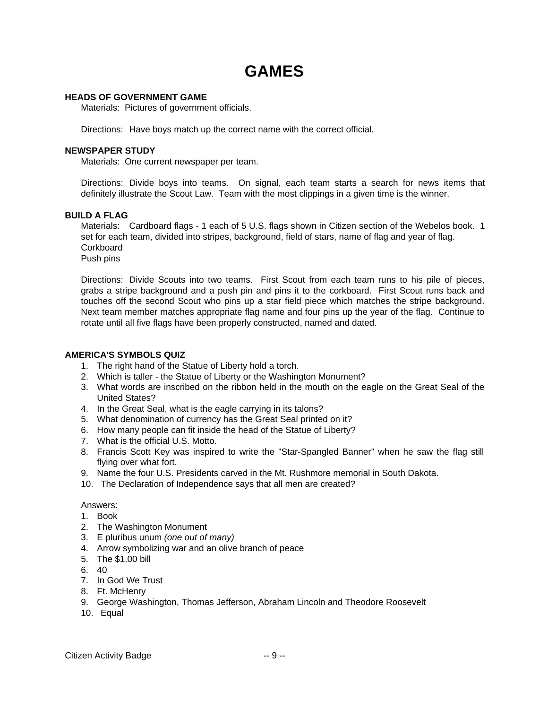# **GAMES**

#### **HEADS OF GOVERNMENT GAME**

Materials: Pictures of government officials.

Directions: Have boys match up the correct name with the correct official.

#### **NEWSPAPER STUDY**

Materials: One current newspaper per team.

Directions: Divide boys into teams. On signal, each team starts a search for news items that definitely illustrate the Scout Law. Team with the most clippings in a given time is the winner.

#### **BUILD A FLAG**

Materials: Cardboard flags - 1 each of 5 U.S. flags shown in Citizen section of the Webelos book. 1 set for each team, divided into stripes, background, field of stars, name of flag and year of flag. **Corkboard** 

Push pins

Directions: Divide Scouts into two teams. First Scout from each team runs to his pile of pieces, grabs a stripe background and a push pin and pins it to the corkboard. First Scout runs back and touches off the second Scout who pins up a star field piece which matches the stripe background. Next team member matches appropriate flag name and four pins up the year of the flag. Continue to rotate until all five flags have been properly constructed, named and dated.

#### **AMERICA'S SYMBOLS QUIZ**

- 1. The right hand of the Statue of Liberty hold a torch.
- 2. Which is taller the Statue of Liberty or the Washington Monument?
- 3. What words are inscribed on the ribbon held in the mouth on the eagle on the Great Seal of the United States?
- 4. In the Great Seal, what is the eagle carrying in its talons?
- 5. What denomination of currency has the Great Seal printed on it?
- 6. How many people can fit inside the head of the Statue of Liberty?
- 7. What is the official U.S. Motto.
- 8. Francis Scott Key was inspired to write the "Star-Spangled Banner" when he saw the flag still flying over what fort.
- 9. Name the four U.S. Presidents carved in the Mt. Rushmore memorial in South Dakota.
- 10. The Declaration of Independence says that all men are created?

#### Answers:

1. Book

- 2. The Washington Monument
- 3. E pluribus unum *(one out of many)*
- 4. Arrow symbolizing war and an olive branch of peace
- 5. The \$1.00 bill
- 6. 40
- 7. In God We Trust
- 8. Ft. McHenry
- 9. George Washington, Thomas Jefferson, Abraham Lincoln and Theodore Roosevelt
- 10. Equal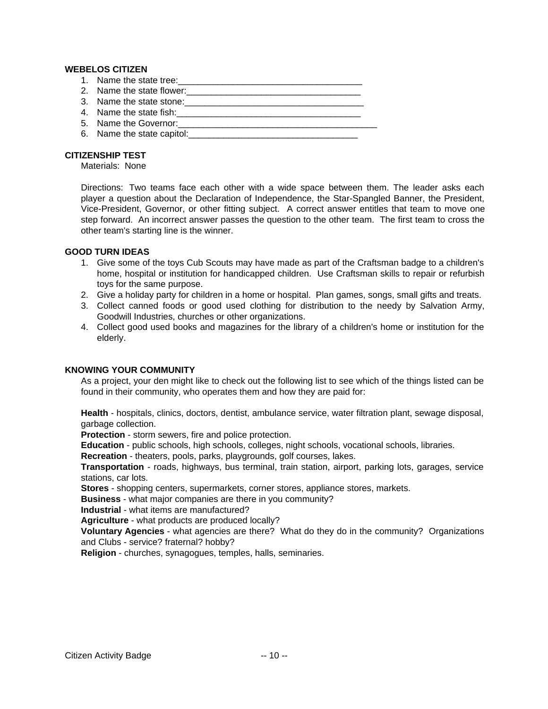#### **WEBELOS CITIZEN**

- 1. Name the state tree:\_\_\_\_\_\_\_\_\_\_\_\_\_\_\_\_\_\_\_\_\_\_\_\_\_\_\_\_\_\_\_\_\_\_\_\_\_
- 2. Name the state flower:
- 3. Name the state stone:\_\_\_\_\_\_\_\_\_\_\_\_\_\_\_\_\_\_\_\_\_\_\_\_\_\_\_\_\_\_\_\_\_\_\_\_
- 4. Name the state fish:\_\_\_\_\_\_\_\_\_\_\_\_\_\_\_\_\_\_\_\_\_\_\_\_\_\_\_\_\_\_\_\_\_\_\_\_\_
- 5. Name the Governor:\_\_\_\_\_\_\_\_\_\_\_\_\_\_\_\_\_\_\_\_\_\_\_\_\_\_\_\_\_\_\_\_\_\_\_\_\_\_\_\_
- 6. Name the state capitol:

#### **CITIZENSHIP TEST**

Materials: None

Directions: Two teams face each other with a wide space between them. The leader asks each player a question about the Declaration of Independence, the Star-Spangled Banner, the President, Vice-President, Governor, or other fitting subject. A correct answer entitles that team to move one step forward. An incorrect answer passes the question to the other team. The first team to cross the other team's starting line is the winner.

#### **GOOD TURN IDEAS**

- 1. Give some of the toys Cub Scouts may have made as part of the Craftsman badge to a children's home, hospital or institution for handicapped children. Use Craftsman skills to repair or refurbish toys for the same purpose.
- 2. Give a holiday party for children in a home or hospital. Plan games, songs, small gifts and treats.
- 3. Collect canned foods or good used clothing for distribution to the needy by Salvation Army, Goodwill Industries, churches or other organizations.
- 4. Collect good used books and magazines for the library of a children's home or institution for the elderly.

#### **KNOWING YOUR COMMUNITY**

As a project, your den might like to check out the following list to see which of the things listed can be found in their community, who operates them and how they are paid for:

**Health** - hospitals, clinics, doctors, dentist, ambulance service, water filtration plant, sewage disposal, garbage collection.

**Protection** - storm sewers, fire and police protection.

**Education** - public schools, high schools, colleges, night schools, vocational schools, libraries.

**Recreation** - theaters, pools, parks, playgrounds, golf courses, lakes.

**Transportation** - roads, highways, bus terminal, train station, airport, parking lots, garages, service stations, car lots.

**Stores** - shopping centers, supermarkets, corner stores, appliance stores, markets.

**Business** - what major companies are there in you community?

**Industrial** - what items are manufactured?

**Agriculture** - what products are produced locally?

**Voluntary Agencies** - what agencies are there? What do they do in the community? Organizations and Clubs - service? fraternal? hobby?

**Religion** - churches, synagogues, temples, halls, seminaries.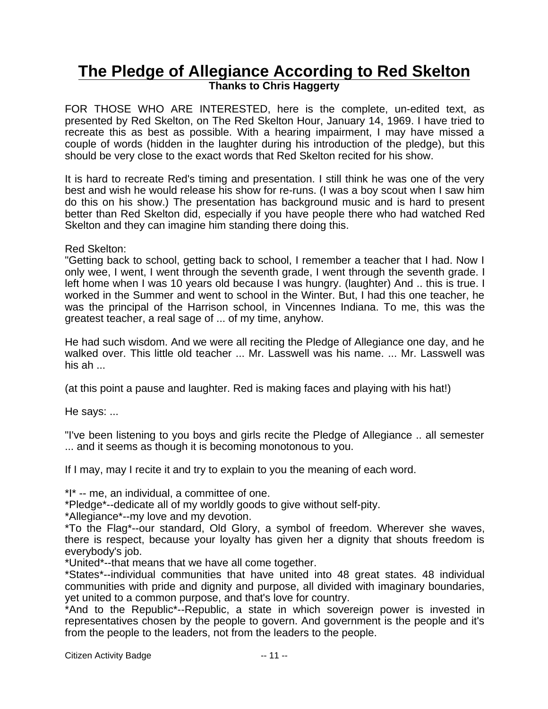# **The Pledge of Allegiance According to Red Skelton Thanks to Chris Haggerty**

FOR THOSE WHO ARE INTERESTED, here is the complete, un-edited text, as presented by Red Skelton, on The Red Skelton Hour, January 14, 1969. I have tried to recreate this as best as possible. With a hearing impairment, I may have missed a couple of words (hidden in the laughter during his introduction of the pledge), but this should be very close to the exact words that Red Skelton recited for his show.

It is hard to recreate Red's timing and presentation. I still think he was one of the very best and wish he would release his show for re-runs. (I was a boy scout when I saw him do this on his show.) The presentation has background music and is hard to present better than Red Skelton did, especially if you have people there who had watched Red Skelton and they can imagine him standing there doing this.

### Red Skelton:

"Getting back to school, getting back to school, I remember a teacher that I had. Now I only wee, I went, I went through the seventh grade, I went through the seventh grade. I left home when I was 10 years old because I was hungry. (laughter) And .. this is true. I worked in the Summer and went to school in the Winter. But, I had this one teacher, he was the principal of the Harrison school, in Vincennes Indiana. To me, this was the greatest teacher, a real sage of ... of my time, anyhow.

He had such wisdom. And we were all reciting the Pledge of Allegiance one day, and he walked over. This little old teacher ... Mr. Lasswell was his name. ... Mr. Lasswell was his  $ab \dots$ 

(at this point a pause and laughter. Red is making faces and playing with his hat!)

He says: ...

"I've been listening to you boys and girls recite the Pledge of Allegiance .. all semester ... and it seems as though it is becoming monotonous to you.

If I may, may I recite it and try to explain to you the meaning of each word.

\*I\* -- me, an individual, a committee of one.

\*Pledge\*--dedicate all of my worldly goods to give without self-pity.

\*Allegiance\*--my love and my devotion.

\*To the Flag\*--our standard, Old Glory, a symbol of freedom. Wherever she waves, there is respect, because your loyalty has given her a dignity that shouts freedom is everybody's job.

\*United\*--that means that we have all come together.

\*States\*--individual communities that have united into 48 great states. 48 individual communities with pride and dignity and purpose, all divided with imaginary boundaries, yet united to a common purpose, and that's love for country.

\*And to the Republic\*--Republic, a state in which sovereign power is invested in representatives chosen by the people to govern. And government is the people and it's from the people to the leaders, not from the leaders to the people.

Citizen Activity Badge -- 11 --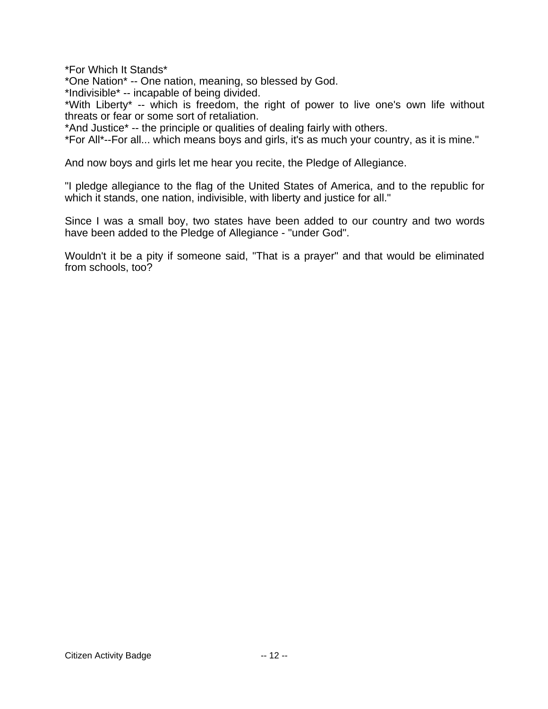\*For Which It Stands\*

\*One Nation\* -- One nation, meaning, so blessed by God.

\*Indivisible\* -- incapable of being divided.

\*With Liberty\* -- which is freedom, the right of power to live one's own life without threats or fear or some sort of retaliation.

\*And Justice\* -- the principle or qualities of dealing fairly with others.

\*For All\*--For all... which means boys and girls, it's as much your country, as it is mine."

And now boys and girls let me hear you recite, the Pledge of Allegiance.

"I pledge allegiance to the flag of the United States of America, and to the republic for which it stands, one nation, indivisible, with liberty and justice for all."

Since I was a small boy, two states have been added to our country and two words have been added to the Pledge of Allegiance - "under God".

Wouldn't it be a pity if someone said, "That is a prayer" and that would be eliminated from schools, too?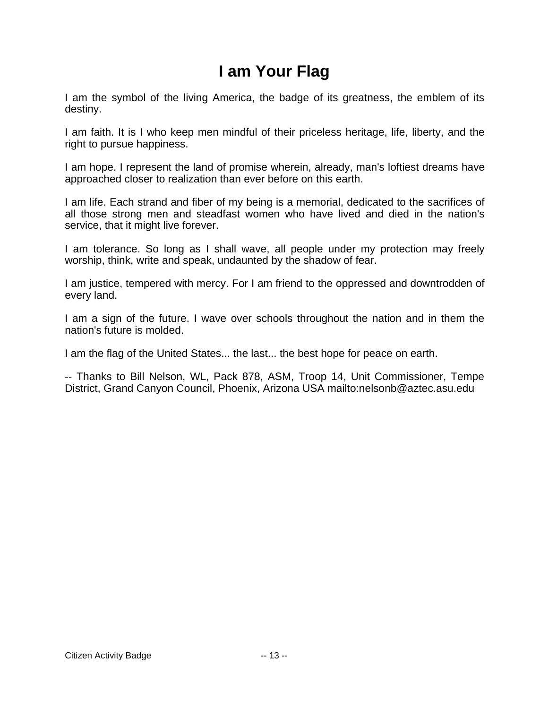# **I am Your Flag**

I am the symbol of the living America, the badge of its greatness, the emblem of its destiny.

I am faith. It is I who keep men mindful of their priceless heritage, life, liberty, and the right to pursue happiness.

I am hope. I represent the land of promise wherein, already, man's loftiest dreams have approached closer to realization than ever before on this earth.

I am life. Each strand and fiber of my being is a memorial, dedicated to the sacrifices of all those strong men and steadfast women who have lived and died in the nation's service, that it might live forever.

I am tolerance. So long as I shall wave, all people under my protection may freely worship, think, write and speak, undaunted by the shadow of fear.

I am justice, tempered with mercy. For I am friend to the oppressed and downtrodden of every land.

I am a sign of the future. I wave over schools throughout the nation and in them the nation's future is molded.

I am the flag of the United States... the last... the best hope for peace on earth.

-- Thanks to Bill Nelson, WL, Pack 878, ASM, Troop 14, Unit Commissioner, Tempe District, Grand Canyon Council, Phoenix, Arizona USA mailto:nelsonb@aztec.asu.edu